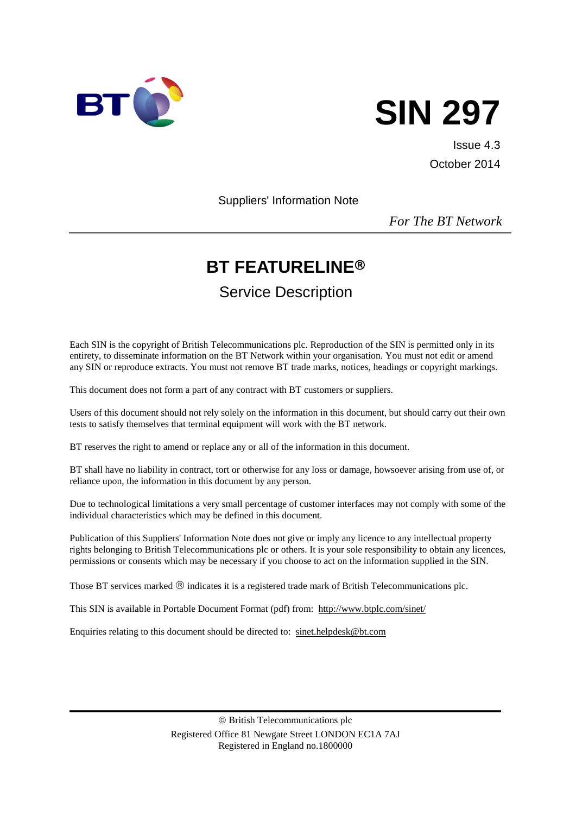



Issue 4.3 October 2014

Suppliers' Information Note

*For The BT Network*

# **BT FEATURELINE**

# Service Description

Each SIN is the copyright of British Telecommunications plc. Reproduction of the SIN is permitted only in its entirety, to disseminate information on the BT Network within your organisation. You must not edit or amend any SIN or reproduce extracts. You must not remove BT trade marks, notices, headings or copyright markings.

This document does not form a part of any contract with BT customers or suppliers.

Users of this document should not rely solely on the information in this document, but should carry out their own tests to satisfy themselves that terminal equipment will work with the BT network.

BT reserves the right to amend or replace any or all of the information in this document.

BT shall have no liability in contract, tort or otherwise for any loss or damage, howsoever arising from use of, or reliance upon, the information in this document by any person.

Due to technological limitations a very small percentage of customer interfaces may not comply with some of the individual characteristics which may be defined in this document.

Publication of this Suppliers' Information Note does not give or imply any licence to any intellectual property rights belonging to British Telecommunications plc or others. It is your sole responsibility to obtain any licences, permissions or consents which may be necessary if you choose to act on the information supplied in the SIN.

Those BT services marked  $\circledR$  indicates it is a registered trade mark of British Telecommunications plc.

This SIN is available in Portable Document Format (pdf) from: <http://www.btplc.com/sinet/>

Enquiries relating to this document should be directed to: [sinet.helpdesk@bt.com](mailto:sinet.helpdesk@bt.com)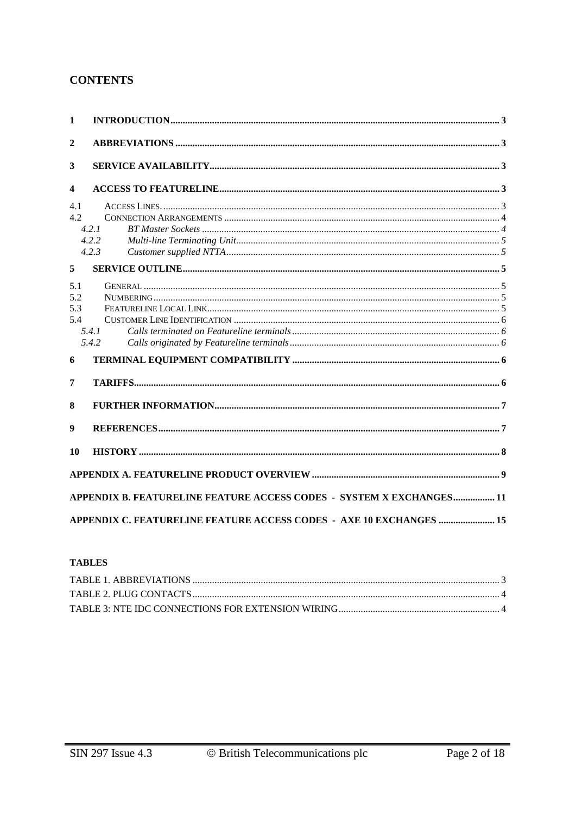### **CONTENTS**

| 1            |                                                                      |
|--------------|----------------------------------------------------------------------|
| $\mathbf{2}$ |                                                                      |
| 3            |                                                                      |
| 4            |                                                                      |
| 4.1          |                                                                      |
| 4.2.         |                                                                      |
|              | 4.2.1                                                                |
|              | 4.2.2                                                                |
|              | 4.2.3                                                                |
| 5            |                                                                      |
| 5.1          |                                                                      |
| 5.2          |                                                                      |
| 5.3          |                                                                      |
| 5.4          |                                                                      |
|              | 5.4.1                                                                |
|              | 5.4.2                                                                |
| 6            |                                                                      |
| 7            |                                                                      |
| 8            |                                                                      |
| 9            |                                                                      |
| 10           |                                                                      |
|              |                                                                      |
|              | APPENDIX B. FEATURELINE FEATURE ACCESS CODES - SYSTEM X EXCHANGES 11 |
|              | APPENDIX C. FEATURELINE FEATURE ACCESS CODES - AXE 10 EXCHANGES  15  |

#### **TABLES**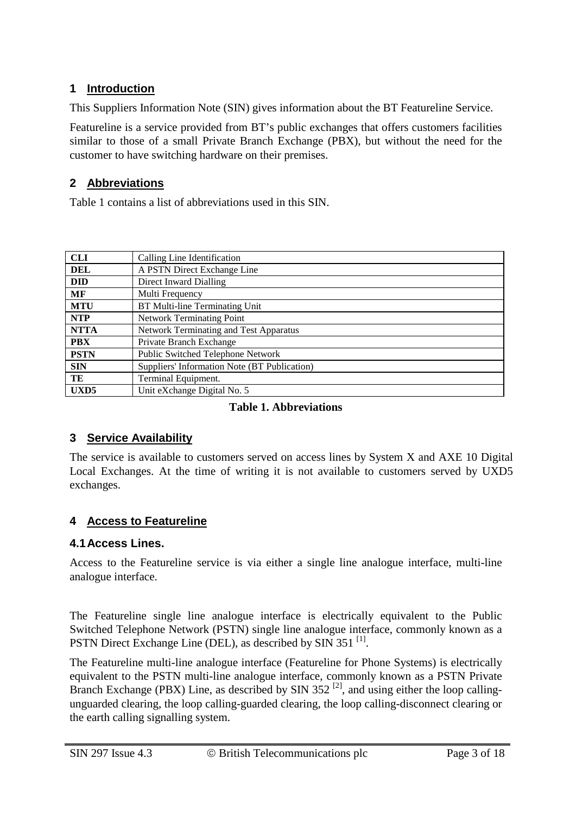## **1 Introduction**

This Suppliers Information Note (SIN) gives information about the BT Featureline Service.

Featureline is a service provided from BT's public exchanges that offers customers facilities similar to those of a small Private Branch Exchange (PBX), but without the need for the customer to have switching hardware on their premises.

## **2 Abbreviations**

Table 1 contains a list of abbreviations used in this SIN.

| <b>CLI</b>       | Calling Line Identification                  |
|------------------|----------------------------------------------|
| <b>DEL</b>       | A PSTN Direct Exchange Line                  |
| <b>DID</b>       | Direct Inward Dialling                       |
| МF               | Multi Frequency                              |
| <b>MTU</b>       | BT Multi-line Terminating Unit               |
| <b>NTP</b>       | <b>Network Terminating Point</b>             |
| <b>NTTA</b>      | Network Terminating and Test Apparatus       |
| <b>PBX</b>       | Private Branch Exchange                      |
| <b>PSTN</b>      | Public Switched Telephone Network            |
| <b>SIN</b>       | Suppliers' Information Note (BT Publication) |
| TE               | Terminal Equipment.                          |
| UXD <sub>5</sub> | Unit eXchange Digital No. 5                  |

#### **Table 1. Abbreviations**

## **3 Service Availability**

The service is available to customers served on access lines by System X and AXE 10 Digital Local Exchanges. At the time of writing it is not available to customers served by UXD5 exchanges.

## **4 Access to Featureline**

## **4.1Access Lines.**

Access to the Featureline service is via either a single line analogue interface, multi-line analogue interface.

The Featureline single line analogue interface is electrically equivalent to the Public Switched Telephone Network (PSTN) single line analogue interface, commonly known as a PSTN Direct Exchange Line (DEL), as described by SIN 351<sup>[1]</sup>.

The Featureline multi-line analogue interface (Featureline for Phone Systems) is electrically equivalent to the PSTN multi-line analogue interface, commonly known as a PSTN Private Branch Exchange (PBX) Line, as described by SIN 352<sup>[2]</sup>, and using either the loop callingunguarded clearing, the loop calling-guarded clearing, the loop calling-disconnect clearing or the earth calling signalling system.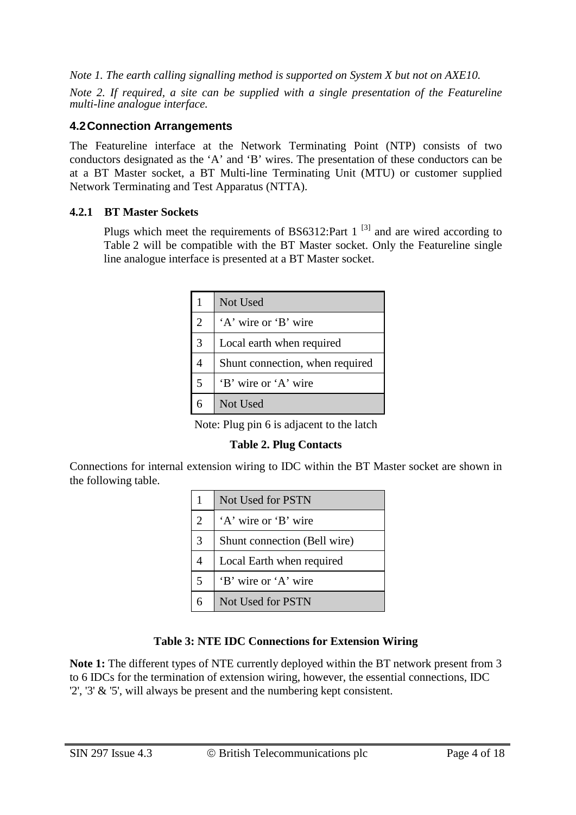*Note 1. The earth calling signalling method is supported on System X but not on AXE10.*

*Note 2. If required, a site can be supplied with a single presentation of the Featureline multi-line analogue interface.* 

### **4.2Connection Arrangements**

The Featureline interface at the Network Terminating Point (NTP) consists of two conductors designated as the 'A' and 'B' wires. The presentation of these conductors can be at a BT Master socket, a BT Multi-line Terminating Unit (MTU) or customer supplied Network Terminating and Test Apparatus (NTTA).

#### **4.2.1 BT Master Sockets**

Plugs which meet the requirements of BS6312:Part  $1^{3}$  and are wired according to Table 2 will be compatible with the BT Master socket. Only the Featureline single line analogue interface is presented at a BT Master socket.

|   | Not Used                        |
|---|---------------------------------|
| 2 | 'A' wire or 'B' wire            |
| 3 | Local earth when required       |
|   | Shunt connection, when required |
| 5 | 'B' wire or 'A' wire            |
|   | Not Used                        |

Note: Plug pin 6 is adjacent to the latch

#### **Table 2. Plug Contacts**

Connections for internal extension wiring to IDC within the BT Master socket are shown in the following table.

|                | Not Used for PSTN            |  |  |  |
|----------------|------------------------------|--|--|--|
| $\overline{2}$ | 'A' wire or 'B' wire         |  |  |  |
| 3              | Shunt connection (Bell wire) |  |  |  |
|                | Local Earth when required    |  |  |  |
| 5              | 'B' wire or 'A' wire         |  |  |  |
| 6              | Not Used for PSTN            |  |  |  |

## **Table 3: NTE IDC Connections for Extension Wiring**

**Note 1:** The different types of NTE currently deployed within the BT network present from 3 to 6 IDCs for the termination of extension wiring, however, the essential connections, IDC '2', '3' & '5', will always be present and the numbering kept consistent.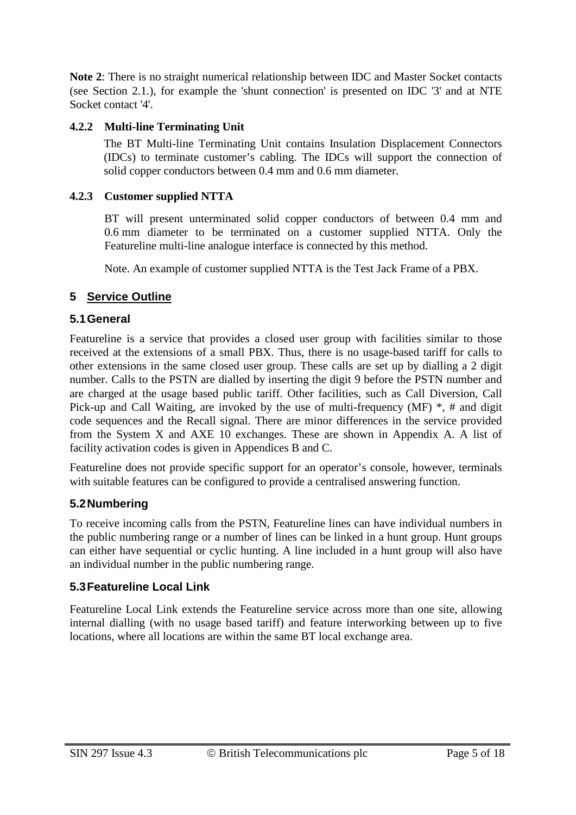**Note 2**: There is no straight numerical relationship between IDC and Master Socket contacts (see Section 2.1.), for example the 'shunt connection' is presented on IDC '3' and at NTE Socket contact '4'.

#### **4.2.2 Multi-line Terminating Unit**

The BT Multi-line Terminating Unit contains Insulation Displacement Connectors (IDCs) to terminate customer's cabling. The IDCs will support the connection of solid copper conductors between 0.4 mm and 0.6 mm diameter.

#### **4.2.3 Customer supplied NTTA**

BT will present unterminated solid copper conductors of between 0.4 mm and 0.6 mm diameter to be terminated on a customer supplied NTTA. Only the Featureline multi-line analogue interface is connected by this method.

Note. An example of customer supplied NTTA is the Test Jack Frame of a PBX.

## **5 Service Outline**

#### **5.1General**

Featureline is a service that provides a closed user group with facilities similar to those received at the extensions of a small PBX. Thus, there is no usage-based tariff for calls to other extensions in the same closed user group. These calls are set up by dialling a 2 digit number. Calls to the PSTN are dialled by inserting the digit 9 before the PSTN number and are charged at the usage based public tariff. Other facilities, such as Call Diversion, Call Pick-up and Call Waiting, are invoked by the use of multi-frequency (MF) \*, # and digit code sequences and the Recall signal. There are minor differences in the service provided from the System X and AXE 10 exchanges. These are shown in Appendix A. A list of facility activation codes is given in Appendices B and C.

Featureline does not provide specific support for an operator's console, however, terminals with suitable features can be configured to provide a centralised answering function.

#### **5.2Numbering**

To receive incoming calls from the PSTN, Featureline lines can have individual numbers in the public numbering range or a number of lines can be linked in a hunt group. Hunt groups can either have sequential or cyclic hunting. A line included in a hunt group will also have an individual number in the public numbering range.

#### **5.3Featureline Local Link**

Featureline Local Link extends the Featureline service across more than one site, allowing internal dialling (with no usage based tariff) and feature interworking between up to five locations, where all locations are within the same BT local exchange area.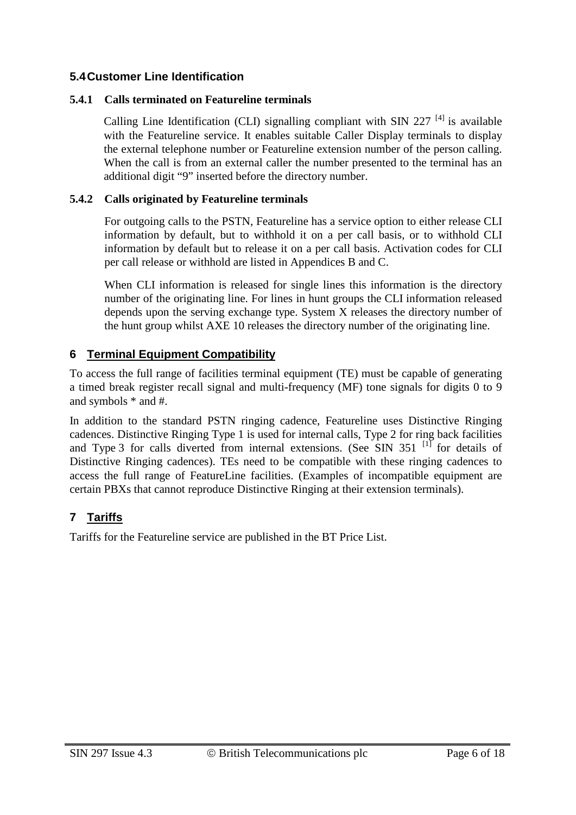#### **5.4Customer Line Identification**

#### **5.4.1 Calls terminated on Featureline terminals**

Calling Line Identification (CLI) signalling compliant with SIN 227<sup> $[4]$ </sup> is available with the Featureline service. It enables suitable Caller Display terminals to display the external telephone number or Featureline extension number of the person calling. When the call is from an external caller the number presented to the terminal has an additional digit "9" inserted before the directory number.

#### **5.4.2 Calls originated by Featureline terminals**

For outgoing calls to the PSTN, Featureline has a service option to either release CLI information by default, but to withhold it on a per call basis, or to withhold CLI information by default but to release it on a per call basis. Activation codes for CLI per call release or withhold are listed in Appendices B and C.

When CLI information is released for single lines this information is the directory number of the originating line. For lines in hunt groups the CLI information released depends upon the serving exchange type. System X releases the directory number of the hunt group whilst AXE 10 releases the directory number of the originating line.

## **6 Terminal Equipment Compatibility**

To access the full range of facilities terminal equipment (TE) must be capable of generating a timed break register recall signal and multi-frequency (MF) tone signals for digits 0 to 9 and symbols \* and #.

In addition to the standard PSTN ringing cadence, Featureline uses Distinctive Ringing cadences. Distinctive Ringing Type 1 is used for internal calls, Type 2 for ring back facilities and Type 3 for calls diverted from internal extensions. (See SIN  $351$ <sup>[1]</sup> for details of Distinctive Ringing cadences). TEs need to be compatible with these ringing cadences to access the full range of FeatureLine facilities. (Examples of incompatible equipment are certain PBXs that cannot reproduce Distinctive Ringing at their extension terminals).

## **7 Tariffs**

Tariffs for the Featureline service are published in the BT Price List.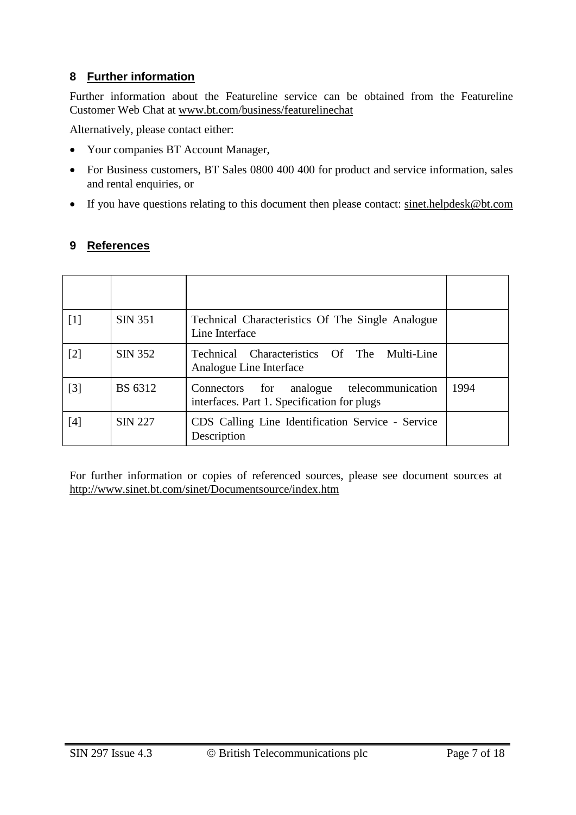## **8 Further information**

Further information about the Featureline service can be obtained from the Featureline Customer Web Chat at [www.bt.com/business/featurelinechat](http://www.bt.com/business/featurelinechat)

Alternatively, please contact either:

- Your companies BT Account Manager,
- For Business customers, BT Sales 0800 400 400 for product and service information, sales and rental enquiries, or
- If you have questions relating to this document then please contact: [sinet.helpdesk@bt.com](mailto:sinet.helpdesk@bt.com)

#### **9 References**

| [1]               | <b>SIN 351</b> | Technical Characteristics Of The Single Analogue<br>Line Interface                          |      |
|-------------------|----------------|---------------------------------------------------------------------------------------------|------|
| [2]               | SIN 352        | Technical Characteristics Of The Multi-Line<br>Analogue Line Interface                      |      |
| $\lceil 3 \rceil$ | <b>BS</b> 6312 | analogue telecommunication<br>Connectors for<br>interfaces. Part 1. Specification for plugs | 1994 |
| $[4]$             | <b>SIN 227</b> | CDS Calling Line Identification Service - Service<br>Description                            |      |

For further information or copies of referenced sources, please see document sources at <http://www.sinet.bt.com/sinet/Documentsource/index.htm>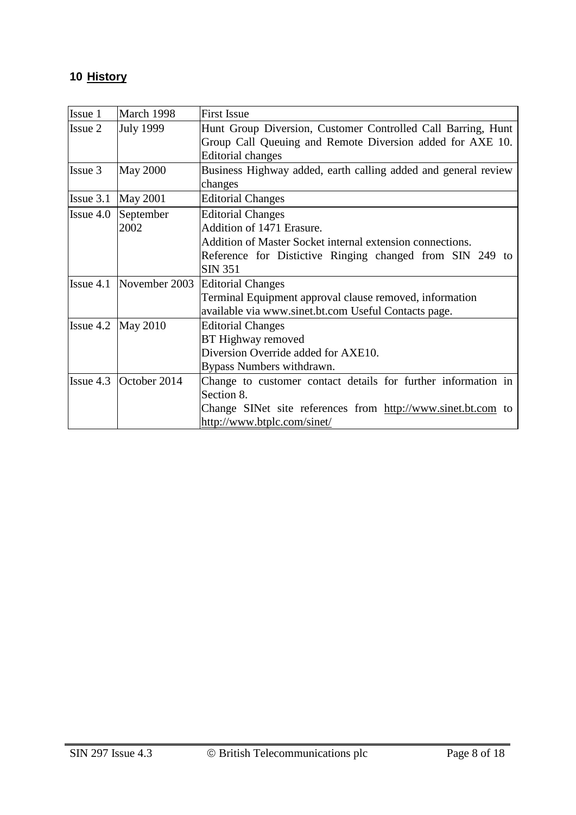# **10 History**

| Issue 1            | March 1998                                         | <b>First Issue</b>                                             |  |  |  |  |
|--------------------|----------------------------------------------------|----------------------------------------------------------------|--|--|--|--|
| <b>Issue 2</b>     | <b>July 1999</b>                                   | Hunt Group Diversion, Customer Controlled Call Barring, Hunt   |  |  |  |  |
|                    |                                                    | Group Call Queuing and Remote Diversion added for AXE 10.      |  |  |  |  |
|                    |                                                    | <b>Editorial changes</b>                                       |  |  |  |  |
| Issue 3            | <b>May 2000</b>                                    | Business Highway added, earth calling added and general review |  |  |  |  |
|                    |                                                    | changes                                                        |  |  |  |  |
|                    | Issue $3.1$ May $2001$                             | <b>Editorial Changes</b>                                       |  |  |  |  |
| $\text{Issue }4.0$ | September                                          | <b>Editorial Changes</b>                                       |  |  |  |  |
|                    | 2002                                               | Addition of 1471 Erasure.                                      |  |  |  |  |
|                    |                                                    | Addition of Master Socket internal extension connections.      |  |  |  |  |
|                    |                                                    | Reference for Distictive Ringing changed from SIN 249 to       |  |  |  |  |
|                    |                                                    | <b>SIN 351</b>                                                 |  |  |  |  |
|                    | $\text{Issue } 4.1 \text{ \text{November } } 2003$ | <b>Editorial Changes</b>                                       |  |  |  |  |
|                    |                                                    | Terminal Equipment approval clause removed, information        |  |  |  |  |
|                    |                                                    | available via www.sinet.bt.com Useful Contacts page.           |  |  |  |  |
| Issue 4.2 May 2010 | <b>Editorial Changes</b>                           |                                                                |  |  |  |  |
|                    |                                                    | BT Highway removed                                             |  |  |  |  |
|                    |                                                    | Diversion Override added for AXE10.                            |  |  |  |  |
|                    |                                                    | Bypass Numbers withdrawn.                                      |  |  |  |  |
|                    | Issue $4.3$ October $2014$                         | Change to customer contact details for further information in  |  |  |  |  |
|                    |                                                    | Section 8.                                                     |  |  |  |  |
|                    |                                                    | Change SINet site references from http://www.sinet.bt.com to   |  |  |  |  |
|                    |                                                    | http://www.btplc.com/sinet/                                    |  |  |  |  |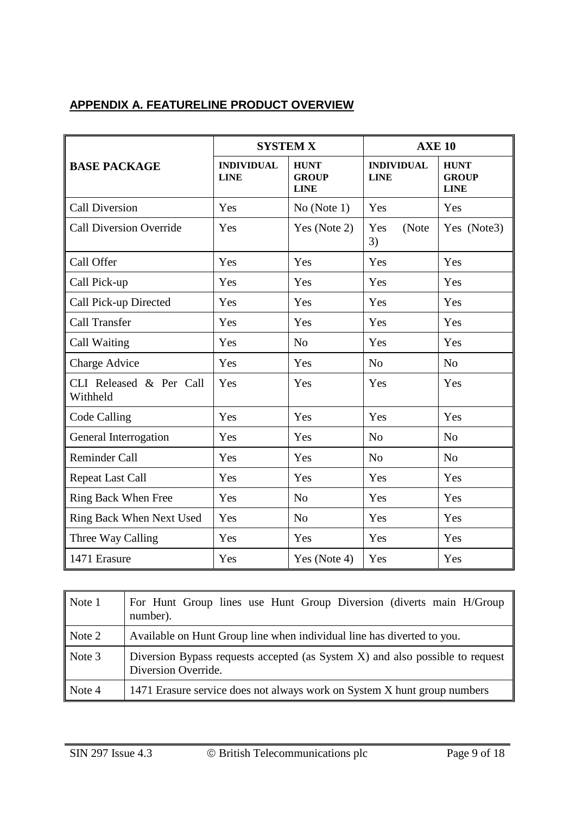## **APPENDIX A. FEATURELINE PRODUCT OVERVIEW**

|                                     | <b>SYSTEM X</b>                  |                                            | <b>AXE 10</b>                    |                                            |
|-------------------------------------|----------------------------------|--------------------------------------------|----------------------------------|--------------------------------------------|
| <b>BASE PACKAGE</b>                 | <b>INDIVIDUAL</b><br><b>LINE</b> | <b>HUNT</b><br><b>GROUP</b><br><b>LINE</b> | <b>INDIVIDUAL</b><br><b>LINE</b> | <b>HUNT</b><br><b>GROUP</b><br><b>LINE</b> |
| <b>Call Diversion</b>               | Yes                              | No (Note 1)                                | Yes                              | Yes                                        |
| <b>Call Diversion Override</b>      | Yes                              | Yes (Note 2)                               | Yes<br>(Note<br>3)               | Yes (Note3)                                |
| Call Offer                          | Yes                              | Yes                                        | Yes                              | Yes                                        |
| Call Pick-up                        | Yes                              | Yes                                        | Yes                              | Yes                                        |
| Call Pick-up Directed               | Yes                              | Yes                                        | Yes                              | Yes                                        |
| <b>Call Transfer</b>                | Yes                              | Yes                                        | Yes                              | Yes                                        |
| Call Waiting                        | Yes                              | N <sub>o</sub>                             | Yes                              | Yes                                        |
| Charge Advice                       | Yes                              | Yes                                        | N <sub>o</sub>                   | N <sub>o</sub>                             |
| CLI Released & Per Call<br>Withheld | Yes                              | Yes                                        | Yes                              | Yes                                        |
| Code Calling                        | Yes                              | Yes                                        | Yes                              | Yes                                        |
| General Interrogation               | Yes                              | Yes                                        | N <sub>o</sub>                   | N <sub>o</sub>                             |
| <b>Reminder Call</b>                | Yes                              | Yes                                        | N <sub>o</sub>                   | N <sub>o</sub>                             |
| <b>Repeat Last Call</b>             | Yes                              | Yes                                        | Yes                              | Yes                                        |
| <b>Ring Back When Free</b>          | Yes                              | N <sub>o</sub>                             | Yes                              | Yes                                        |
| Ring Back When Next Used            | Yes                              | N <sub>o</sub>                             | Yes                              | Yes                                        |
| Three Way Calling                   | Yes                              | Yes                                        | Yes                              | Yes                                        |
| 1471 Erasure                        | Yes                              | Yes (Note 4)                               | Yes                              | Yes                                        |

| $\vert$ Note 1              | For Hunt Group lines use Hunt Group Diversion (diverts main H/Group<br>number).                      |  |  |  |  |
|-----------------------------|------------------------------------------------------------------------------------------------------|--|--|--|--|
| $\vert$ Note 2              | Available on Hunt Group line when individual line has diverted to you.                               |  |  |  |  |
| $\sqrt{\phantom{a}}$ Note 3 | Diversion Bypass requests accepted (as System X) and also possible to request<br>Diversion Override. |  |  |  |  |
| $\vert$ Note 4              | 1471 Erasure service does not always work on System X hunt group numbers                             |  |  |  |  |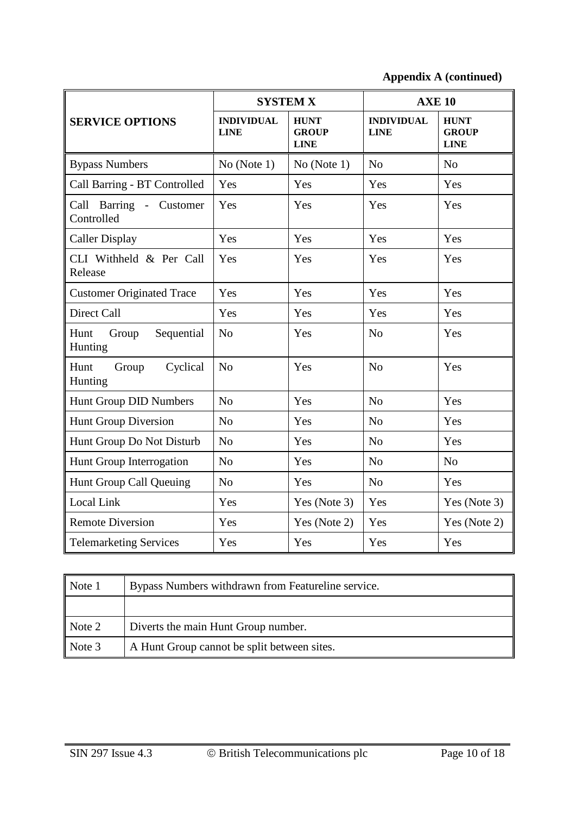**Appendix A (continued)**

|                                        | <b>SYSTEM X</b>                  |                                            | <b>AXE 10</b>                    |                                            |
|----------------------------------------|----------------------------------|--------------------------------------------|----------------------------------|--------------------------------------------|
| <b>SERVICE OPTIONS</b>                 | <b>INDIVIDUAL</b><br><b>LINE</b> | <b>HUNT</b><br><b>GROUP</b><br><b>LINE</b> | <b>INDIVIDUAL</b><br><b>LINE</b> | <b>HUNT</b><br><b>GROUP</b><br><b>LINE</b> |
| <b>Bypass Numbers</b>                  | No (Note 1)                      | No (Note 1)                                | N <sub>o</sub>                   | N <sub>0</sub>                             |
| Call Barring - BT Controlled           | Yes                              | Yes                                        | Yes                              | Yes                                        |
| Call Barring - Customer<br>Controlled  | Yes                              | Yes                                        | Yes                              | Yes                                        |
| <b>Caller Display</b>                  | Yes                              | Yes                                        | Yes                              | Yes                                        |
| CLI Withheld & Per Call<br>Release     | Yes                              | Yes                                        | Yes                              | Yes                                        |
| <b>Customer Originated Trace</b>       | Yes                              | Yes                                        | Yes                              | Yes                                        |
| Direct Call                            | Yes                              | Yes                                        | Yes                              | Yes                                        |
| Hunt<br>Group<br>Sequential<br>Hunting | N <sub>0</sub>                   | Yes                                        | N <sub>0</sub>                   | Yes                                        |
| Hunt<br>Group<br>Cyclical<br>Hunting   | N <sub>o</sub>                   | Yes                                        | N <sub>o</sub>                   | Yes                                        |
| Hunt Group DID Numbers                 | N <sub>0</sub>                   | Yes                                        | N <sub>0</sub>                   | Yes                                        |
| <b>Hunt Group Diversion</b>            | N <sub>o</sub>                   | Yes                                        | N <sub>o</sub>                   | Yes                                        |
| Hunt Group Do Not Disturb              | N <sub>o</sub>                   | Yes                                        | N <sub>o</sub>                   | Yes                                        |
| Hunt Group Interrogation               | N <sub>o</sub>                   | Yes                                        | N <sub>o</sub>                   | N <sub>o</sub>                             |
| Hunt Group Call Queuing                | N <sub>o</sub>                   | Yes                                        | N <sub>o</sub>                   | Yes                                        |
| Local Link                             | Yes                              | Yes (Note 3)                               | Yes                              | Yes (Note 3)                               |
| <b>Remote Diversion</b>                | Yes                              | Yes (Note 2)                               | Yes                              | Yes (Note 2)                               |
| <b>Telemarketing Services</b>          | Yes                              | Yes                                        | Yes                              | Yes                                        |

| Note 1 | Bypass Numbers withdrawn from Featureline service. |
|--------|----------------------------------------------------|
|        |                                                    |
| Note 2 | Diverts the main Hunt Group number.                |
| Note 3 | A Hunt Group cannot be split between sites.        |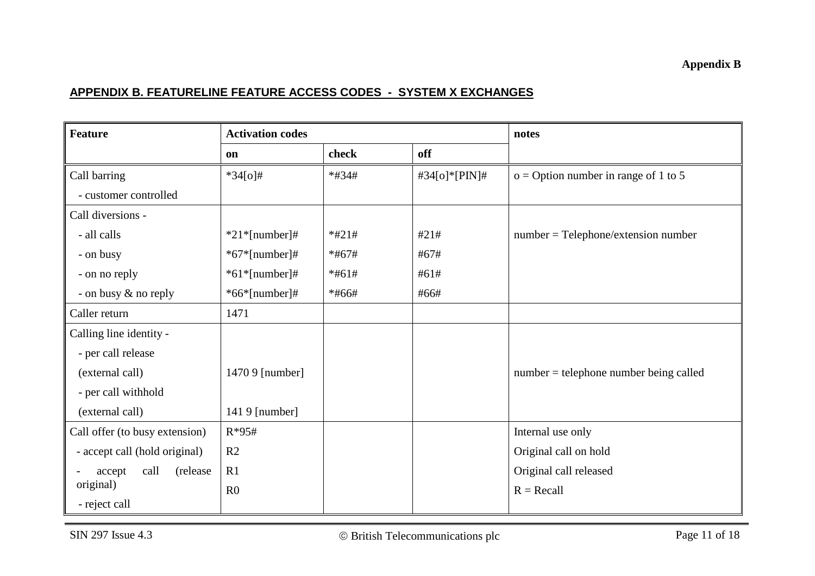### **APPENDIX B. FEATURELINE FEATURE ACCESS CODES - SYSTEM X EXCHANGES**

| <b>Feature</b>                 | <b>Activation codes</b> |         |               | notes                                    |
|--------------------------------|-------------------------|---------|---------------|------------------------------------------|
|                                | on                      | check   | off           |                                          |
| Call barring                   | $*34[0]$ #              | *#34#   | #34[o]*[PIN]# | $o = Option$ number in range of 1 to 5   |
| - customer controlled          |                         |         |               |                                          |
| Call diversions -              |                         |         |               |                                          |
| - all calls                    | $*21*[number]$ #        | $*#21#$ | #21#          | $number = Telephone/extension number$    |
| - on busy                      | $*67*$ [number]#        | $*#67#$ | #67#          |                                          |
| - on no reply                  | $*61*$ [number]#        | $*#61#$ | #61#          |                                          |
| - on busy & no reply           | $*66*$ [number]#        | *#66#   | #66#          |                                          |
| Caller return                  | 1471                    |         |               |                                          |
| Calling line identity -        |                         |         |               |                                          |
| - per call release             |                         |         |               |                                          |
| (external call)                | 1470 9 [number]         |         |               | $number = telephone number being called$ |
| - per call withhold            |                         |         |               |                                          |
| (external call)                | 141 9 [number]          |         |               |                                          |
| Call offer (to busy extension) | $R*95#$                 |         |               | Internal use only                        |
| - accept call (hold original)  | R <sub>2</sub>          |         |               | Original call on hold                    |
| call<br>(release<br>accept     | R1                      |         |               | Original call released                   |
| original)                      | R <sub>0</sub>          |         |               | $R = Recall$                             |
| - reject call                  |                         |         |               |                                          |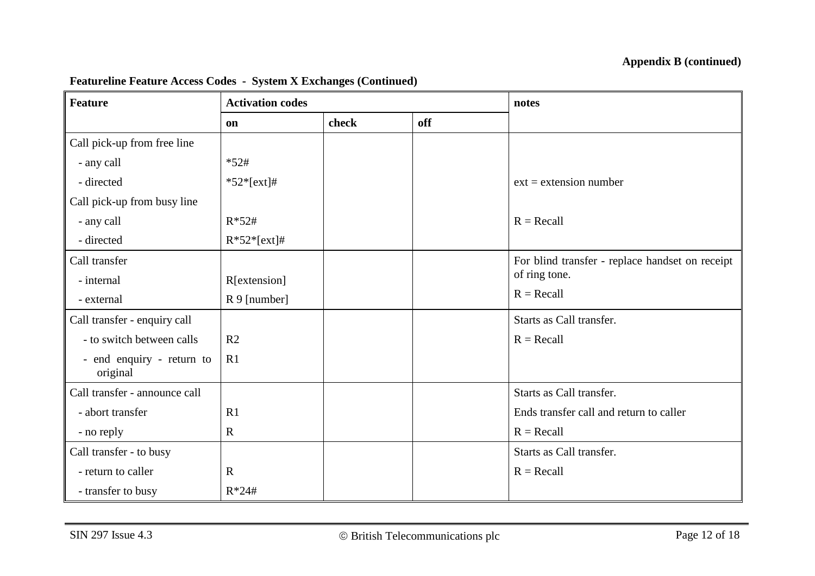| <b>Feature</b>                        | <b>Activation codes</b> |       |     | notes                                           |
|---------------------------------------|-------------------------|-------|-----|-------------------------------------------------|
|                                       | on                      | check | off |                                                 |
| Call pick-up from free line           |                         |       |     |                                                 |
| - any call                            | $*52#$                  |       |     |                                                 |
| - directed                            | $*52*[ext]$ #           |       |     | $ext = extension number$                        |
| Call pick-up from busy line           |                         |       |     |                                                 |
| - any call                            | $R*52#$                 |       |     | $R = Recall$                                    |
| - directed                            | $R*52*[ext]$ #          |       |     |                                                 |
| Call transfer                         |                         |       |     | For blind transfer - replace handset on receipt |
| - internal                            | R[extension]            |       |     | of ring tone.                                   |
| - external                            | R 9 [number]            |       |     | $R = Recall$                                    |
| Call transfer - enquiry call          |                         |       |     | Starts as Call transfer.                        |
| - to switch between calls             | R <sub>2</sub>          |       |     | $R = Recall$                                    |
| - end enquiry - return to<br>original | R1                      |       |     |                                                 |
| Call transfer - announce call         |                         |       |     | Starts as Call transfer.                        |
| - abort transfer                      | R1                      |       |     | Ends transfer call and return to caller         |
| - no reply                            | $\mathbf R$             |       |     | $R = Recall$                                    |
| Call transfer - to busy               |                         |       |     | Starts as Call transfer.                        |
| - return to caller                    | $\mathbf R$             |       |     | $R = Recall$                                    |
| - transfer to busy                    | $R*24#$                 |       |     |                                                 |

#### **Featureline Feature Access Codes - System X Exchanges (Continued)**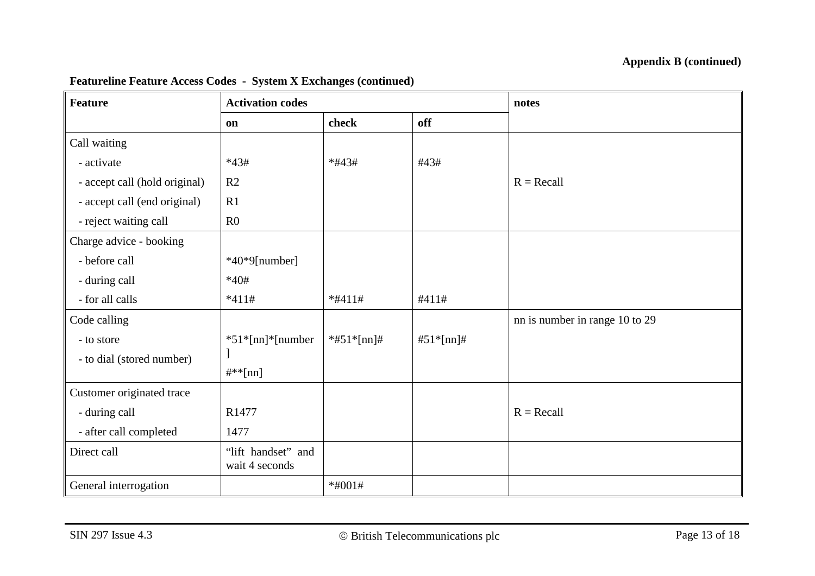#### **Appendix B (continued)**

| Feature                       | <b>Activation codes</b>              |               |           | notes                          |
|-------------------------------|--------------------------------------|---------------|-----------|--------------------------------|
|                               | on                                   | check         | off       |                                |
| Call waiting                  |                                      |               |           |                                |
| - activate                    | $*43#$                               | $*#43#$       | #43#      |                                |
| - accept call (hold original) | R <sub>2</sub>                       |               |           | $R = Recall$                   |
| - accept call (end original)  | R <sub>1</sub>                       |               |           |                                |
| - reject waiting call         | R <sub>0</sub>                       |               |           |                                |
| Charge advice - booking       |                                      |               |           |                                |
| - before call                 | $*40*9$ [number]                     |               |           |                                |
| - during call                 | $*40#$                               |               |           |                                |
| - for all calls               | $*411#$                              | $*#411#$      | #411#     |                                |
| Code calling                  |                                      |               |           | nn is number in range 10 to 29 |
| - to store                    | $*51*[nn]*[number]$                  | $*#51*[nn]$ # | #51*[nn]# |                                |
| - to dial (stored number)     |                                      |               |           |                                |
|                               | $\#^{**}[nn]$                        |               |           |                                |
| Customer originated trace     |                                      |               |           |                                |
| - during call                 | R1477                                |               |           | $R = Recall$                   |
| - after call completed        | 1477                                 |               |           |                                |
| Direct call                   | "lift handset" and<br>wait 4 seconds |               |           |                                |
| General interrogation         |                                      | $*#001#$      |           |                                |

#### **Featureline Feature Access Codes - System X Exchanges (continued)**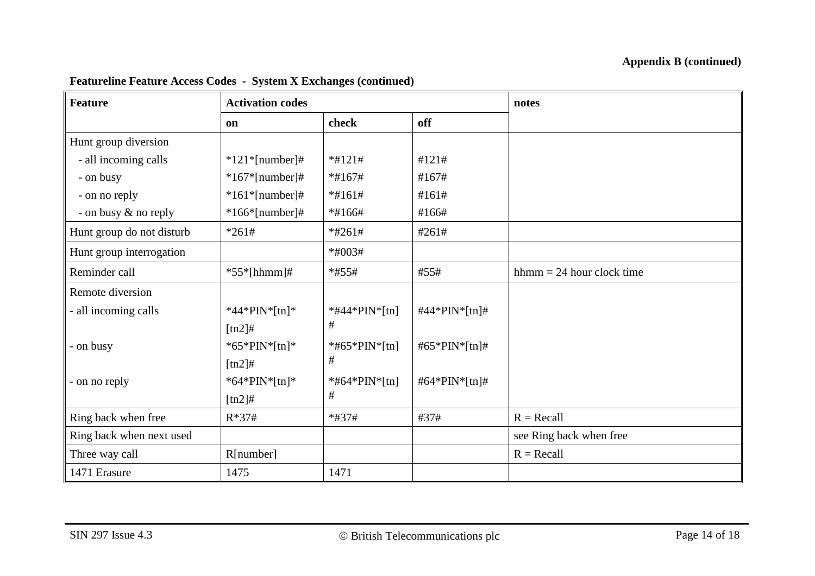| <b>Feature</b>            | <b>Activation codes</b> |               |               | notes                                          |
|---------------------------|-------------------------|---------------|---------------|------------------------------------------------|
|                           | on                      | check         | off           |                                                |
| Hunt group diversion      |                         |               |               |                                                |
| - all incoming calls      | $*121*$ [number]#       | $*#121#$      | #121#         |                                                |
| - on busy                 | $*167*$ [number]#       | $*#167#$      | #167#         |                                                |
| - on no reply             | $*161*$ [number]#       | $*#161#$      | #161#         |                                                |
| - on busy & no reply      | $*166*[number] \#$      | $*#166#$      | #166#         |                                                |
| Hunt group do not disturb | $*261#$                 | $*#261#$      | #261#         |                                                |
| Hunt group interrogation  |                         | $*#003#$      |               |                                                |
| Reminder call             | $*55*[hhmm]$ #          | $*#55#$       | #55#          | $h_{\text{thmm}} = 24 \text{ hour clock time}$ |
| Remote diversion          |                         |               |               |                                                |
| - all incoming calls      | *44*PIN*[tn]*           | *#44*PIN*[tn] | #44*PIN*[tn]# |                                                |
|                           | $[\text{tn2}]$ #        | #             |               |                                                |
| - on busy                 | * $65*PIN*[tn]*$        | *#65*PIN*[tn] | #65*PIN*[tn]# |                                                |
|                           | $[tn2]$ #               | #             |               |                                                |
| - on no reply             | *64*PIN*[tn]*           | *#64*PIN*[tn] | #64*PIN*[tn]# |                                                |
|                           | $[tn2]$ #               | #             |               |                                                |
| Ring back when free       | $R*37#$                 | *#37#         | #37#          | $R = Recall$                                   |
| Ring back when next used  |                         |               |               | see Ring back when free                        |
| Three way call            | R[number]               |               |               | $R = Recall$                                   |
| 1471 Erasure              | 1475                    | 1471          |               |                                                |

#### **Featureline Feature Access Codes - System X Exchanges (continued)**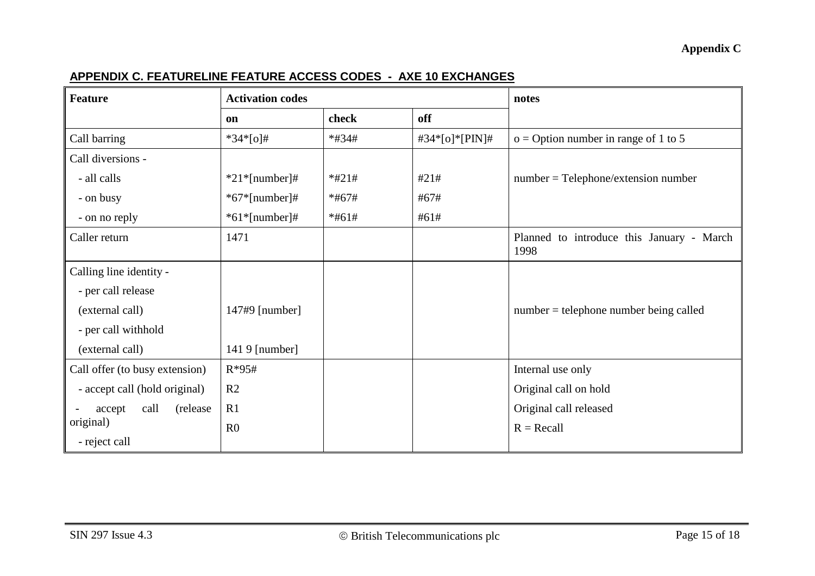## **APPENDIX C. FEATURELINE FEATURE ACCESS CODES - AXE 10 EXCHANGES**

| <b>Feature</b>                 | <b>Activation codes</b> |         |                | notes                                             |
|--------------------------------|-------------------------|---------|----------------|---------------------------------------------------|
|                                | on                      | check   | off            |                                                   |
| Call barring                   | $*34*[o]$ #             | $*#34#$ | #34*[o]*[PIN]# | $o = Option$ number in range of 1 to 5            |
| Call diversions -              |                         |         |                |                                                   |
| - all calls                    | $*21*$ [number]#        | $*#21#$ | #21#           | $number = Telephone/extension number$             |
| - on busy                      | $*67*[number] \#$       | $*#67#$ | #67#           |                                                   |
| - on no reply                  | $*61*$ [number]#        | $*#61#$ | #61#           |                                                   |
| Caller return                  | 1471                    |         |                | Planned to introduce this January - March<br>1998 |
| Calling line identity -        |                         |         |                |                                                   |
| - per call release             |                         |         |                |                                                   |
| (external call)                | 147#9 [number]          |         |                | $number = telephone number being called$          |
| - per call withhold            |                         |         |                |                                                   |
| (external call)                | 141 9 [number]          |         |                |                                                   |
| Call offer (to busy extension) | $R*95#$                 |         |                | Internal use only                                 |
| - accept call (hold original)  | R2                      |         |                | Original call on hold                             |
| call<br>(release)<br>accept    | R1                      |         |                | Original call released                            |
| original)                      | R <sub>0</sub>          |         |                | $R = Recall$                                      |
| - reject call                  |                         |         |                |                                                   |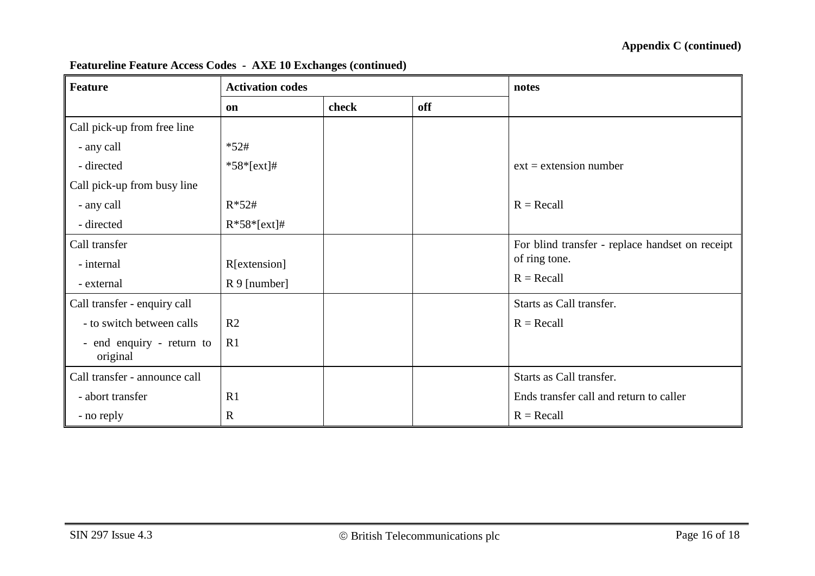| <b>Feature</b>                        | <b>Activation codes</b> |       |     | notes                                           |
|---------------------------------------|-------------------------|-------|-----|-------------------------------------------------|
|                                       | on                      | check | off |                                                 |
| Call pick-up from free line           |                         |       |     |                                                 |
| - any call                            | $*52#$                  |       |     |                                                 |
| - directed                            | $*58*[ext]$ #           |       |     | $ext = extension number$                        |
| Call pick-up from busy line           |                         |       |     |                                                 |
| - any call                            | $R*52#$                 |       |     | $R = Recall$                                    |
| - directed                            | $R*58*[ext]$ #          |       |     |                                                 |
| Call transfer                         |                         |       |     | For blind transfer - replace handset on receipt |
| - internal                            | R[extension]            |       |     | of ring tone.                                   |
| - external                            | $R9$ [number]           |       |     | $R = Recall$                                    |
| Call transfer - enquiry call          |                         |       |     | Starts as Call transfer.                        |
| - to switch between calls             | R <sub>2</sub>          |       |     | $R = Recall$                                    |
| - end enquiry - return to<br>original | R1                      |       |     |                                                 |
| Call transfer - announce call         |                         |       |     | Starts as Call transfer.                        |
| - abort transfer                      | R <sub>1</sub>          |       |     | Ends transfer call and return to caller         |
| - no reply                            | $\mathbf R$             |       |     | $R = Recall$                                    |

#### **Featureline Feature Access Codes - AXE 10 Exchanges (continued)**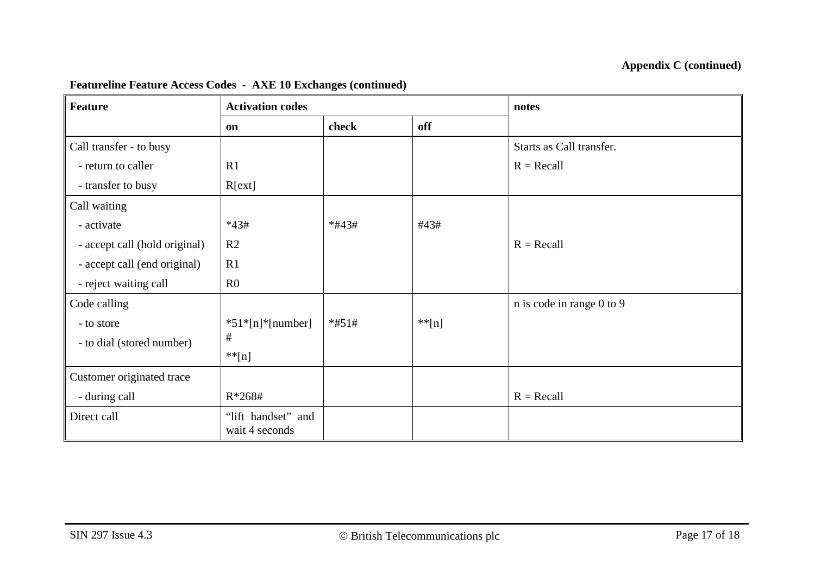| <b>Feature</b>                | <b>Activation codes</b>              |         |           | notes                     |
|-------------------------------|--------------------------------------|---------|-----------|---------------------------|
|                               | on                                   | check   | off       |                           |
| Call transfer - to busy       |                                      |         |           | Starts as Call transfer.  |
| - return to caller            | R1                                   |         |           | $R = Recall$              |
| - transfer to busy            | R[ext]                               |         |           |                           |
| Call waiting                  |                                      |         |           |                           |
| - activate                    | $*43#$                               | $*#43#$ | #43#      |                           |
| - accept call (hold original) | R <sub>2</sub>                       |         |           | $R = Recall$              |
| - accept call (end original)  | R1                                   |         |           |                           |
| - reject waiting call         | R <sub>0</sub>                       |         |           |                           |
| Code calling                  |                                      |         |           | n is code in range 0 to 9 |
| - to store                    | $*51*[n]*[number]$                   | $*#51#$ | $*$ $[n]$ |                           |
| - to dial (stored number)     | $\#$                                 |         |           |                           |
|                               | $**[n]$                              |         |           |                           |
| Customer originated trace     |                                      |         |           |                           |
| - during call                 | $R*268#$                             |         |           | $R = Recall$              |
| Direct call                   | "lift handset" and<br>wait 4 seconds |         |           |                           |

## **Featureline Feature Access Codes - AXE 10 Exchanges (continued)**